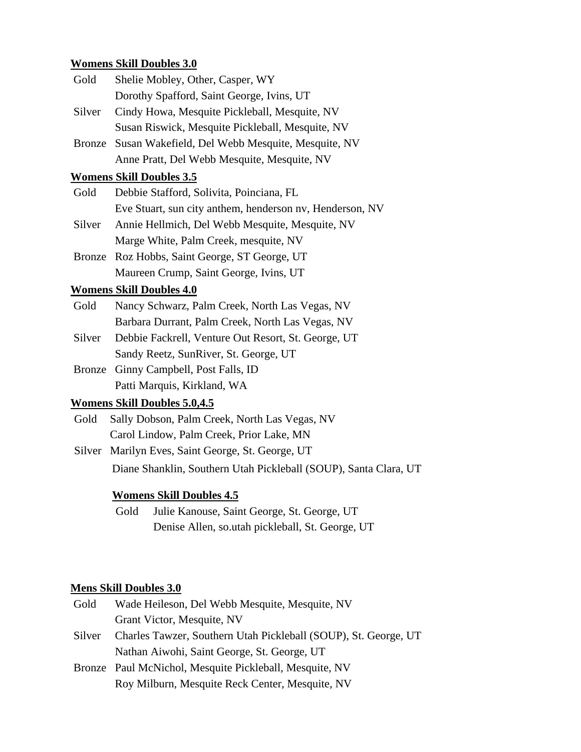## **Womens Skill Doubles 3.0**

| Gold          | Shelie Mobley, Other, Casper, WY                         |
|---------------|----------------------------------------------------------|
|               | Dorothy Spafford, Saint George, Ivins, UT                |
| Silver        | Cindy Howa, Mesquite Pickleball, Mesquite, NV            |
|               | Susan Riswick, Mesquite Pickleball, Mesquite, NV         |
| <b>Bronze</b> | Susan Wakefield, Del Webb Mesquite, Mesquite, NV         |
|               | Anne Pratt, Del Webb Mesquite, Mesquite, NV              |
|               | <b>Womens Skill Doubles 3.5</b>                          |
| Gold          | Debbie Stafford, Solivita, Poinciana, FL                 |
|               | Eve Stuart, sun city anthem, henderson nv, Henderson, NV |
| Silver        | Annie Hellmich, Del Webb Mesquite, Mesquite, NV          |
|               | Marge White, Palm Creek, mesquite, NV                    |
| Bronze        | Roz Hobbs, Saint George, ST George, UT                   |
|               | Maureen Crump, Saint George, Ivins, UT                   |
|               | <b>Womens Skill Doubles 4.0</b>                          |
| Gold          | Nancy Schwarz, Palm Creek, North Las Vegas, NV           |
|               | Barbara Durrant, Palm Creek, North Las Vegas, NV         |
| Silver        | Debbie Fackrell, Venture Out Resort, St. George, UT      |
|               | Sandy Reetz, SunRiver, St. George, UT                    |
| <b>Bronze</b> | Ginny Campbell, Post Falls, ID                           |
|               |                                                          |

Patti Marquis, Kirkland, WA

# **Womens Skill Doubles 5.0,4.5**

Gold Sally Dobson, Palm Creek, North Las Vegas, NV Carol Lindow, Palm Creek, Prior Lake, MN

Silver Marilyn Eves, Saint George, St. George, UT Diane Shanklin, Southern Utah Pickleball (SOUP), Santa Clara, UT

## **Womens Skill Doubles 4.5**

Gold Julie Kanouse, Saint George, St. George, UT Denise Allen, so.utah pickleball, St. George, UT

### **Mens Skill Doubles 3.0**

| Gold          | Wade Heileson, Del Webb Mesquite, Mesquite, NV                  |
|---------------|-----------------------------------------------------------------|
|               | Grant Victor, Mesquite, NV                                      |
| <b>Silver</b> | Charles Tawzer, Southern Utah Pickleball (SOUP), St. George, UT |
|               | Nathan Aiwohi, Saint George, St. George, UT                     |
|               | Bronze Paul McNichol, Mesquite Pickleball, Mesquite, NV         |

Roy Milburn, Mesquite Reck Center, Mesquite, NV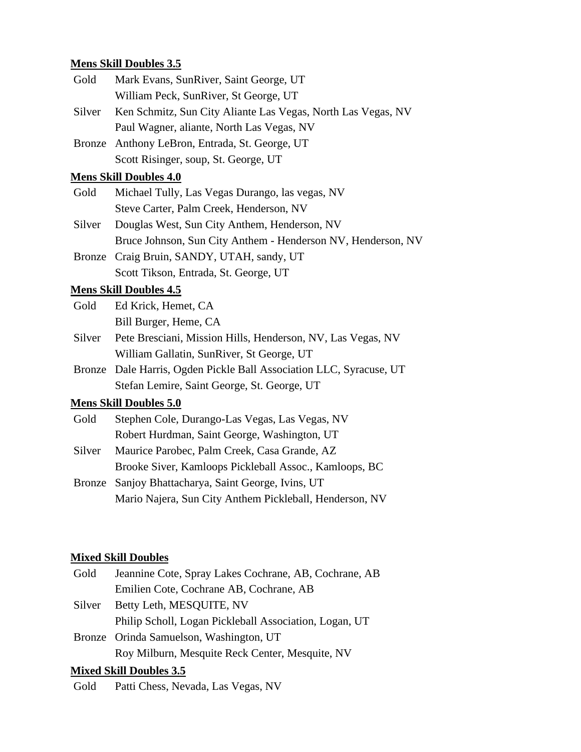| <b>Mens Skill Doubles 3.5</b> |                                                                     |  |
|-------------------------------|---------------------------------------------------------------------|--|
| Gold                          | Mark Evans, SunRiver, Saint George, UT                              |  |
|                               | William Peck, SunRiver, St George, UT                               |  |
| Silver                        | Ken Schmitz, Sun City Aliante Las Vegas, North Las Vegas, NV        |  |
|                               | Paul Wagner, aliante, North Las Vegas, NV                           |  |
|                               | Bronze Anthony LeBron, Entrada, St. George, UT                      |  |
|                               | Scott Risinger, soup, St. George, UT                                |  |
|                               | <b>Mens Skill Doubles 4.0</b>                                       |  |
| Gold                          | Michael Tully, Las Vegas Durango, las vegas, NV                     |  |
|                               | Steve Carter, Palm Creek, Henderson, NV                             |  |
| Silver                        | Douglas West, Sun City Anthem, Henderson, NV                        |  |
|                               | Bruce Johnson, Sun City Anthem - Henderson NV, Henderson, NV        |  |
| <b>Bronze</b>                 | Craig Bruin, SANDY, UTAH, sandy, UT                                 |  |
|                               | Scott Tikson, Entrada, St. George, UT                               |  |
|                               | <b>Mens Skill Doubles 4.5</b>                                       |  |
| Gold                          | Ed Krick, Hemet, CA                                                 |  |
|                               | Bill Burger, Heme, CA                                               |  |
| Silver                        | Pete Bresciani, Mission Hills, Henderson, NV, Las Vegas, NV         |  |
|                               | William Gallatin, SunRiver, St George, UT                           |  |
|                               | Bronze Dale Harris, Ogden Pickle Ball Association LLC, Syracuse, UT |  |
|                               | Stefan Lemire, Saint George, St. George, UT                         |  |
|                               | <b>Mens Skill Doubles 5.0</b>                                       |  |
| Gold                          | Stephen Cole, Durango-Las Vegas, Las Vegas, NV                      |  |

|        | Robert Hurdman, Saint George, Washington, UT            |
|--------|---------------------------------------------------------|
| Silver | Maurice Parobec, Palm Creek, Casa Grande, AZ            |
|        | Brooke Siver, Kamloops Pickleball Assoc., Kamloops, BC  |
|        | Bronze Sanjoy Bhattacharya, Saint George, Ivins, UT     |
|        | Mario Najera, Sun City Anthem Pickleball, Henderson, NV |
|        |                                                         |

## **Mixed Skill Doubles**

| Gold   | Jeannine Cote, Spray Lakes Cochrane, AB, Cochrane, AB  |
|--------|--------------------------------------------------------|
|        | Emilien Cote, Cochrane AB, Cochrane, AB                |
| Silver | Betty Leth, MESQUITE, NV                               |
|        | Philip Scholl, Logan Pickleball Association, Logan, UT |
|        | Bronze Orinda Samuelson, Washington, UT                |
|        | Roy Milburn, Mesquite Reck Center, Mesquite, NV        |

# **Mixed Skill Doubles 3.5**

Gold Patti Chess, Nevada, Las Vegas, NV